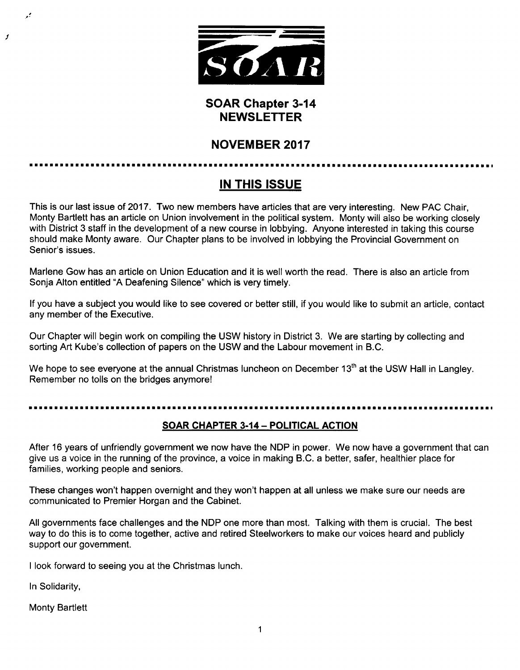

# SOAR Chapter 3-14 NEWSLETTER

# NOVEMBER 2017

# IN THIS ISSUE

This is our last issue of 2017. Two new members have articles that are very interesting. New PAC Chair, Monty Bartlett has an article on Union involvement in the political system. Monty will also be working closely with District 3 staff in the development of a new course in lobbying. Anyone interested in taking this course should make Monty aware. Our Chapter plans to be involved in lobbying the Provincial Government on Senior's issues.

Marlene Gow has an article on Union Education and it is well worth the read. There is also an article from Sonja Alton entitled "A Deafening Silence" which is very timely.

If you have a subject you would like to see covered or better still, if you would like to submit an article, contact any member of the Executive.

Our Chapter will begin work on compiling the USW history in District 3. We are starting by collecting and sorting Art Kube's collection of papers on the USW and the Labour movement in B.C.

We hope to see everyone at the annual Christmas luncheon on December 13<sup>th</sup> at the USW Hall in Langley. Remember no tolls on the bridges anymore!

## SOAR CHAPTER 3-14 —POLITICAL ACTION

After 16 years of unfriendly government we now have the NDP in power. We now have a government that can give us a voice in the running of the province, a voice in making B.C. a better, safer, healthier place for families, working people and seniors.

These changes won't happen overnight and they won't happen at all unless we make sure our needs are communicated to Premier Horgan and the Cabinet.

All governments face challenges and the NDP one more than most. Talking with them is crucial. The best way to do this is to come together, active and retired Steelworkers to make our voices heard and publicly support our government.

I look forward to seeing you at the Christmas lunch.

In Solidarity,

1

ر.

Monty Bartlett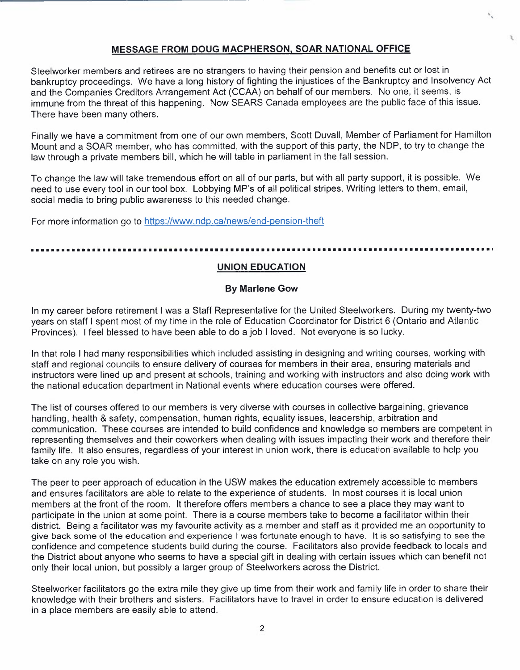### MESSAGE FROM DOUG MACPHERSON, SOAR NATIONAL OFFICE

Steelworker members and retirees are no strangers to having their pension and benefits cut or lost in bankruptcy proceedings. We have a long history of fighting the injustices of the Bankruptcy and Insolvency Act and the Companies Creditors Arrangement Act (CCAA) on behalf of our members. No one, it seems, is immune from the threat of this happening. Now SEARS Canada employees are the public face of this issue. There have been many others.

Finally we have a commitment from one of our own members, Scott Duvall, Member of Parliament for Hamilton Mount and a SOAR member, who has committed, with the support of this party, the NDP, to try to change the law through a private members bill, which he will table in parliament in the fall session.

To change the law will take tremendous effort on all of our parts, but with all party support, it is possible. We need to use every tool in our tool box. Lobbying MP's of all political stripes. Writing letters to them, email, social media to bring public awareness to this needed change.

For more information go to https://www.ndp.ca/news/end-pension-theft

### 

### UNION EDUCATION

### By Marlene Gow

In my career before retirement I was a Staff Representative for the United Steelworkers. During my twenty-two years on staff I spent most of my time in the role of Education Coordinator for District 6 (Ontario and Atlantic Provinces). I feel blessed to have been able to do a job I loved. Not everyone is so lucky.

In that role I had many responsibilities which included assisting in designing and writing courses, working with staff and regional councils to ensure delivery of courses for members in their area, ensuring materials and instructors were lined up and present at schools, training and working with instructors and also doing work with the national education department in National events where education courses were offered.

The list of courses offered to our members is very diverse with courses in collective bargaining, grievance handling, health & safety, compensation, human rights, equality issues, leadership, arbitration and communication. These courses are intended to build confidence and knowledge so members are competent in representing themselves and their coworkers when dealing with issues impacting their work and therefore their family life. It also ensures, regardless of your interest in union work, there is education available to help you take on any role you wish.

The peer to peer approach of education in the USW makes the education extremely accessible to members and ensures facilitators are able to relate to the experience of students. In most courses it is local union members at the front of the room. It therefore offers members a chance to see a place they may want to participate in the union at some point. There is a course members take to become a facilitator within their district. Being a facilitator was my favourite activity as a member and staff as it provided me an opportunity to give back some of the education and experience I was fortunate enough to have. It is so satisfying to see the confidence and competence students build during the course. Facilitators also provide feedback to locals and the District about anyone who seems to have a special gift in dealing with certain issues which can benefit not only their local union, but possibly a larger group of Steelworkers across the District.

Steelworker facilitators go the extra mile they give up time from their work and family life in order to share their knowledge with their brothers and sisters. Facilitators have to travel in order to ensure education is delivered in a place members are easily able to attend.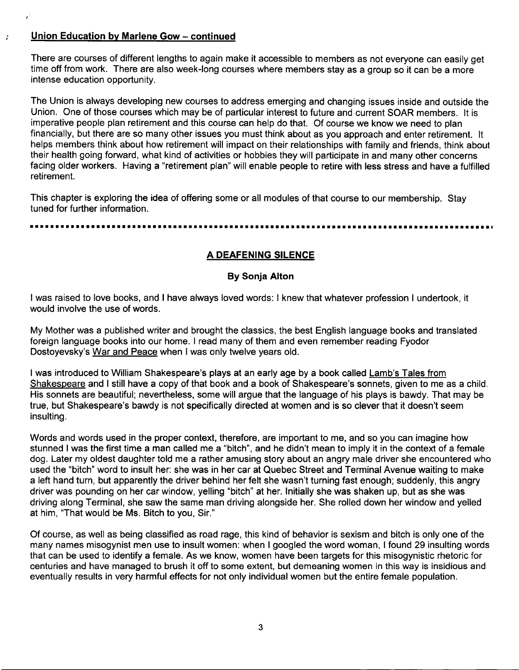### Union Education by Marlene Gow —continued

 $\ddot{\phantom{a}}$ 

There are courses of different lengths to again make it accessible to members as not everyone can easily get time off from work. There are also week-long courses where members stay as a group so it can be a more intense education opportunity.

The Union is always developing new courses to address emerging and changing issues inside and outside the Union. One of those courses which may be of particular interest to future and current SOAR members. It is imperative people plan retirement and this course can help do that. Of course we know we need to plan financially, but there are so many other issues you must think about as you approach and enter retirement. It helps members think about how retirement will impact on their relationships with family and friends, think about their health going forward, what kind of activities or hobbies they will participate in and many other concerns facing older workers. Having a "retirement plan" will enable people to retire with less stress and have a fulfilled retirement.

This chapter is exploring the idea of offering some or all modules of that course to our membership. Stay tuned for further information.

### A DEAFENING SILENCE

### By Sonja Alton

I was raised to love books, and I have always loved words: I knew that whatever profession I undertook, it would involve the use of words.

My Mother was a published writer and brought the classics, the best English language books and translated foreign language books into our home. I read many of them and even remember reading Fyodor Dostoyevsky's War and Peace when I was only twelve years old.

I was introduced to William Shakespeare's plays at an early age by a book called Lamb's Tales from Shakespeare and I still have a copy of that book and a book of Shakespeare's sonnets, given to me as a child. His sonnets are beautiful; nevertheless, some will argue that the language of his plays is bawdy. That may be true, but Shakespeare's bawdy is not specifically directed at women and is so clever that it doesn't seem insulting.

Words and words used in the proper context, therefore, are important to me, and so you can imagine how stunned I was the first time a man called me a "bitch", and he didn't mean to imply it in the context of a female dog. Later my oldest daughter told me a rather amusing story about an angry male driver she encountered who used the "bitch" word to insult her: she was in her carat Quebec Street and Terminal Avenue waiting to make a left hand turn, but apparently the driver behind her felt she wasn't turning fast enough; suddenly, this angry driver was pounding on her car window, yelling "bitch" at her. Initially she was shaken up, but as she was driving along Terminal, she saw the same man driving alongside her. She rolled down her window and yelled at him, "That would be Ms. Bitch to you, Sir."

Of course, as well as being classified as road rage, this kind of behavior is sexism and bitch is only one of the many names misogynist men use to insult women: when I googled the word woman, I found 29 insulting words that can be used to identify a female. As we know, women have been targets for this misogynistic rhetoric for centuries and have managed to brush it off to some extent, but demeaning women in this way is insidious and eventually results in very harmful effects for not only individual women but the entire female population.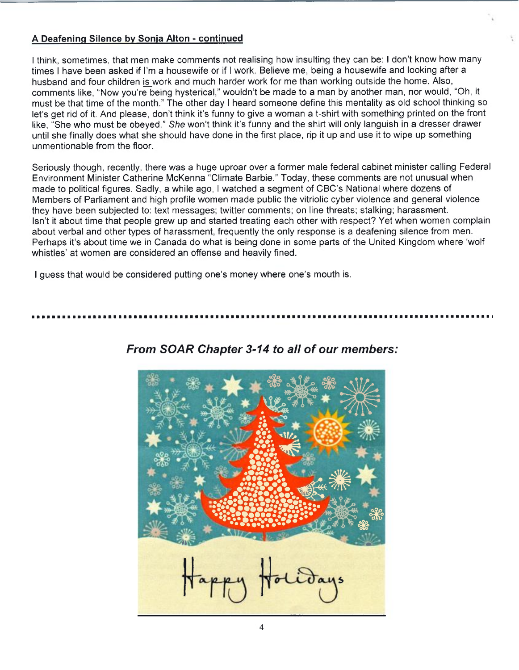### A Deafening Silence by Sonja Alton - continued

I think, sometimes, that men make comments not realising how insulting they can be: I don't know how many times I have been asked if I'm a housewife or if I work. Believe me, being a housewife and looking after a husband and four children is work and much harder work for me than working outside the home. Also, comments like, "Now you're being hysterical," wouldn't be made to a man by another man, nor would, "Oh, it must be that time of the month." The other day I heard someone define this mentality as old school thinking so let's get rid of it. And please, don't think it's funny to give awoman a t-shirt with something printed on the front like, "She who must be obeyed." She won't think it's funny and the shirt will only languish in a dresser drawer until she finally does what she should have done in the first place, rip it up and use it to wipe up something unmentionable from the floor.

Seriously though, recently, there was a huge uproar over a former male federal cabinet minister calling Federal Environment Minister Catherine McKenna "Climate Barbie." Today, these comments are not unusual when made to political figures. Sadly, a while ago, I watched a segment of CBC's National where dozens of Members of Parliament and high profile women made public the vitriolic cyber violence and general violence they have been subjected to: text messages; twitter comments; on line threats; stalking; harassment. Isn't it about time that people grew up and started treating each other with respect? Yet when women complain about verbal and other types of harassment, frequently the only response is a deafening silence from men. Perhaps it's about time we in Canada do what is being done in some parts of the United Kingdom where 'wolf whistles' at women are considered an offense and heavily fined.

I guess that would be considered putting one's money where one's mouth is.

# appy H.

# From SOAR Chapter 3-14 to all of our members: